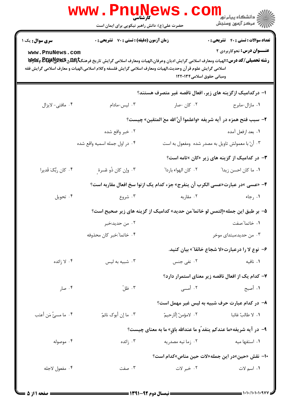|                                                                              | <b>www.PnuNewS</b><br>كارشناسي<br>حضرت علی(ع): دانش راهبر نیکویی برای ایمان است                                                                                                                                                                                                          |                           | الاد دانشگاه پيام نور<br>الا دانشگاه پيام نور<br>الا                              |  |
|------------------------------------------------------------------------------|------------------------------------------------------------------------------------------------------------------------------------------------------------------------------------------------------------------------------------------------------------------------------------------|---------------------------|-----------------------------------------------------------------------------------|--|
| <b>سری سوال :</b> یک ۱<br>www.PnuNews.com                                    | <b>زمان آزمون (دقیقه) : تستی : 70 قشریحی : 0</b><br>رشته تحصیلی/کد درس: الهیات ومعارف اسلامی گرایش ادیان وعرفان،الهیات ومعارف اسلامی گرایش تاریخ فرهنگتاویلگی BE وGWA وWy<br>اسلامی گرایش علوم قر آن وحدیث،الهیات ومعارف اسلامی گرایش فلسفه وکلام اسلامی،الهیات و معارف اسلامی گرایش فقه | ومبانی حقوق اسلامی۱۲۲۰۱۳۴ | <b>تعداد سوالات : تستی : 40 - تشریحی : 0</b><br><b>عنـــوان درس:</b> نحوکاربردی ۲ |  |
|                                                                              |                                                                                                                                                                                                                                                                                          |                           | ا– درکدامیک ازگزینه های زیر، افعال ناقصه غیر متصرف هستند؟                         |  |
| ۰۴ مافتی- لایزال                                                             | ۰۳ لیس-مادام                                                                                                                                                                                                                                                                             | ۰۲ کان -صار               | ٠١ مازال-مابرح                                                                    |  |
|                                                                              |                                                                                                                                                                                                                                                                                          |                           | ٢- سبب فتح همزه در آيه شريفه «واعلموا أنَّ الله معَ المتقين» چيست؟                |  |
|                                                                              | ۰۲ خبر واقع شده                                                                                                                                                                                                                                                                          |                           | ٠١. بعد ازفعل آمده                                                                |  |
|                                                                              | ۰۴ در اول جمله اسمیه واقع شده                                                                                                                                                                                                                                                            |                           | ۰۳ أنّ با معمولش تاويل به مصدر شده ومفعول به است                                  |  |
|                                                                              |                                                                                                                                                                                                                                                                                          |                           | <b>۳</b> - در کدامیک از گزینه های زیر «کان »تامه است؟                             |  |
| ۰۴ کان ربُّکَ قَديرا                                                         | ۰۳ وإن كان ذُو عُسرة ِ                                                                                                                                                                                                                                                                   | ٢. كان الهواء باردا"      | ٠١. ما كان احسن زيدا ً                                                            |  |
| ۴- «عسى »در عبارت«عسى الكرب أن ينفرج» جزء كدام يك ازنوا سخ افعال مقاربه است؟ |                                                                                                                                                                                                                                                                                          |                           |                                                                                   |  |
| ۰۴ تحويل                                                                     | ۰۳ شروع                                                                                                                                                                                                                                                                                  | ۰۲ مقاربه                 | ۰۱ رجاء                                                                           |  |
|                                                                              |                                                                                                                                                                                                                                                                                          |                           | ۵−  بر طبق این جمله«إلتمس لو خاتما ّمن حدید» کدامیک از گزینه های زیر صحیح است؟    |  |
|                                                                              | ۰۲ من حديد:خبر                                                                                                                                                                                                                                                                           |                           | ٠١. خاتما ؒ:صفت                                                                   |  |
|                                                                              | ۰۴ خاتما":خبر كان محذوفه                                                                                                                                                                                                                                                                 |                           | ۰۳ من حدید:مبتدای موخر                                                            |  |
|                                                                              |                                                                                                                                                                                                                                                                                          |                           | ۶– نوع لا را درعبارت«لا شجاع خائفا″» بیان کنید.                                   |  |
| ۰۴ لا زائده                                                                  | ۰۳ شبیه به لیس                                                                                                                                                                                                                                                                           | ٢. نفي جنس                | ۰۱ نافیه                                                                          |  |
|                                                                              |                                                                                                                                                                                                                                                                                          |                           | ۷– کدام یک از افعال ناقصه زیر معنای استمرار دارد؟                                 |  |
| ۰۴ صار                                                                       | ۰۳ ظلّ                                                                                                                                                                                                                                                                                   | ۰۲ أمسى                   | ١. أصبح                                                                           |  |
|                                                                              |                                                                                                                                                                                                                                                                                          |                           | ۸– در کدام عبارت حرف شبیه به لیس غیر مهمل است؟                                    |  |
| ۰۴ ما مسئٌ مَن أعتب                                                          | ۰۳ ما إن أبوك نائمٌ                                                                                                                                                                                                                                                                      | ٢.   لامؤمنٌ إلّارحيمٌ    | ٠١. لا طالبٌ غائبا                                                                |  |
|                                                                              |                                                                                                                                                                                                                                                                                          |                           | ۹- در آیه شریفه«ما عندکم ینفد ٌو ما عندالله باقٍ» ما به معنای چیست؟               |  |
| ۰۴ موصوله                                                                    | ۰۳ زائده                                                                                                                                                                                                                                                                                 | ۰۲ زما نیه مصدریه         | ۰۱ استفها میه                                                                     |  |
|                                                                              |                                                                                                                                                                                                                                                                                          |                           | •ا– نقش «حین»در این جمله«لات حین مناص»کدام است؟                                   |  |
| ۰۴ مفعول لاجله                                                               | ۰۳ صفت                                                                                                                                                                                                                                                                                   | ۰۲ خبر لات                | ١. اسم لات                                                                        |  |
|                                                                              |                                                                                                                                                                                                                                                                                          |                           |                                                                                   |  |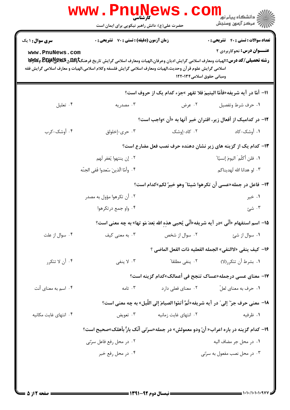| <br>  <br>    دانشگاه پیام نور<br>    مرکز آزمون وسنجش   |                                                                                         | حضرت علی(ع): دانش راهبر نیکویی برای ایمان است                                                                                                                                                                                       |                        |
|----------------------------------------------------------|-----------------------------------------------------------------------------------------|-------------------------------------------------------------------------------------------------------------------------------------------------------------------------------------------------------------------------------------|------------------------|
| <b>تعداد سوالات : تستي : 40 ٪ تشريحي : 0</b>             |                                                                                         | <b>زمان آزمون (دقیقه) : تستی : 70 گشریحی : 0</b>                                                                                                                                                                                    | <b>سری سوال : ۱ یک</b> |
| <b>عنـــوان درس:</b> نحوکاربردی ۲                        | ومبانی حقوق اسلامی۱۲۲۰۱۳۴                                                               | رشته تحصیلی/کد درس: الهیات ومعارف اسلامی گرایش ادیان وعرفان،الهیات ومعارف اسلامی گرایش تاریخ فرهنگتاوعلاق&یکیاهپیاچیا<br>اسلامی گرایش علوم قرآن وحدیث،الهیات ومعارف اسلامی گرایش فلسفه وکلام اسلامی،الهیات و معارف اسلامی گرایش فقه | www.PnuNews.com        |
|                                                          | 11− أمّا در آيه شريفه«فأمّا اليتيمَ فلا تقهر »جزء كدام يك از حروف است؟                  |                                                                                                                                                                                                                                     |                        |
| ٠١ حرف شرط وتفصيل                                        | ۰۲ عرض                                                                                  | ۰۳ مصدریه                                                                                                                                                                                                                           | ۰۴ تعليل               |
|                                                          | ۱۲- در کدامیک از أفعال زیر، اقتران خبر آنها به «أن »واجب است؟                           |                                                                                                                                                                                                                                     |                        |
| ۰۱ أوشک-کاد                                              | ۰۲ کاد-إوشک                                                                             | ۰۳ حری-إخلولق                                                                                                                                                                                                                       | ۰۴ أوشک-کرب            |
|                                                          | ۱۳- کدام یک از گزینه های زیر نشان دهنده حرف نصب فعل مضارع است؟                          |                                                                                                                                                                                                                                     |                        |
| ٠١. فلن أكلّم َ اليومَ إنسيّا ؒ                          |                                                                                         | ٠٢ إن ينتهوا يُغفر لَهم                                                                                                                                                                                                             |                        |
| ۰۳ لو هدانا الله لَهديناكم                               |                                                                                         | ۴ . وأمّا الّذينَ سُعدوا فَفى الجنّه                                                                                                                                                                                                |                        |
|                                                          | ۱۴– فاعل در جمله«عسی أن تکرهوا شیئا" وهو خیر ٌلکم»کدام است؟                             |                                                                                                                                                                                                                                     |                        |
| ۰۱ خیر                                                   |                                                                                         | ۰۲ أن تكرهوا مؤول به مصدر                                                                                                                                                                                                           |                        |
| ۰۳ شئ                                                    |                                                                                         | ۰۴ واو جمع درتکرهوا                                                                                                                                                                                                                 |                        |
|                                                          | 1۵– اسم استفهام «أنّي »در آيه شريفه«أنّي يُحيى هذهِ الله بَعدَ مَو تها» به چه معنى است؟ |                                                                                                                                                                                                                                     |                        |
| ۰۱ سوال از شئ                                            | ۰۲ سوال از شخص                                                                          | ۰۳ به معنی کیف                                                                                                                                                                                                                      | ۰۴ سوال از علت         |
| 16− كيف ينفي «لاالنفي» الجمله الفعليه ذات الفعل الماضي ؟ |                                                                                         |                                                                                                                                                                                                                                     |                        |
| ٠١ بشرط أن تتكرر(لا)                                     | ۰۲ ينفي مطلقا″                                                                          | ۰۳ لا ينفي                                                                                                                                                                                                                          | ۰۴ أن لا تتكرر         |
|                                                          | ۱۷− معنای عسی درجمله«عساک تنجح فی أعمالک»کدام گزینه است؟                                |                                                                                                                                                                                                                                     |                        |
| ۰۱ حرف به معناي لعلّ                                     | ۰۲ معنای فعلی دارد                                                                      | ۰۳ تامه                                                                                                                                                                                                                             | ۰۴ اسم به معنای أنت    |
|                                                          | 18−  معنى حرف جرّ" إلى" در  آيه شريفه«ثُمَّ أتمّوا الصيامَ إلى اللّيل» به چه معنى است؟  |                                                                                                                                                                                                                                     |                        |
| ۰۱ ظرفیه                                                 | ۰۲ انتهای غایت زمانیه                                                                   | ۰۳ تعويض                                                                                                                                                                                                                            | ۰۴ انتهای غایت مکانیه  |
|                                                          |                                                                                         | 19- کدام گزینه در باره اعراب« أنّ ودو معمولش» در جمله«سرّتی أنّک بارٌّ بأهلک»صحیح است؟                                                                                                                                              |                        |
| ٠١ در محل جر مضاف اليه                                   |                                                                                         | ۰۲ در محل رفع فاعل سرّتی                                                                                                                                                                                                            |                        |
| ۰۳ در محل نصب مفعول به سرّتی                             |                                                                                         | ۰۴ در محل رفع خبر                                                                                                                                                                                                                   |                        |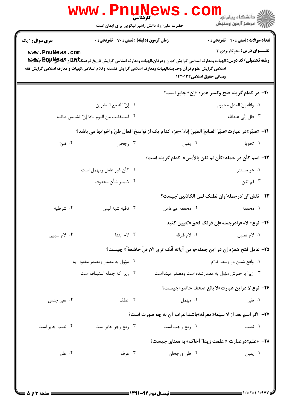| سری سوال: ۱ یک  | <b>زمان آزمون (دقیقه) : تستی : 70 قشریحی : 0</b> |                                                                                                                                         | <b>تعداد سوالات : تستي : 40 - تشريحي : 0</b> |
|-----------------|--------------------------------------------------|-----------------------------------------------------------------------------------------------------------------------------------------|----------------------------------------------|
| www.PnuNews.com |                                                  | اسلامی گرایش علوم قرآن وحدیث،الهیات ومعارف اسلامی گرایش فلسفه وکلام اسلامی،الهیات و معارف اسلامی گرایش فقه<br>ومبانی حقوق اسلامی۱۲۲۰۱۳۴ | <b>عنـــوان درس:</b> نحوکاربردی ۲            |
|                 |                                                  | <b>۲۰</b> - در کدام گزینه فتح وکسر همزه «إن» جایز است؟                                                                                  |                                              |
|                 | ٢. إنّ الله مع الصابرين                          |                                                                                                                                         | ٠١. والله إنّ العدل محبوب                    |
|                 | ۴. استيقظت من النوم فاذا إنّ الشمس طالعه         |                                                                                                                                         | ۰۳ قال إنّي عبدالله                          |
|                 |                                                  | ـ11− «صيّر»در عبارت«صيّرَ الصانعُ الطينَ إناء ّ»جزء كدام يک از نواسخ افعال ظنّ واخواتها مي باشد؟                                        |                                              |
| ۰۴ ظنّ          | ۰۳ رجحان                                         | ۰۲ يقين                                                                                                                                 | ۰۱ تحویل                                     |
|                 |                                                  | <b>۲۲</b> – اسم کأن در جمله«کأن لم تغن بالأمس» کدام گزینه است؟                                                                          |                                              |
|                 | ۰۲ كأن غير عامل ومهمل است                        |                                                                                                                                         | ۰۱ هو مستتر                                  |
|                 | ۰۴ ضمير شأن محذوف                                |                                                                                                                                         | ۰۳ لم تغن                                    |
|                 |                                                  | ٢٣- نقش ّان ّدرجمله ّوان نظنک لمن الکاذبين ّچيست؟                                                                                       |                                              |
| ۰۴ شرطيه        | ۰۳ نافیه شبه لیس                                 | ۰۲ مخففه غیرعامل                                                                                                                        | ۰۱ مخففه                                     |
|                 |                                                  | ۲۴− نوع« لام»رادرجمله«إن قولک لحق»تعيين کنيد.                                                                                           |                                              |
| ۰۴ لام سببی     | ۰۳ لام ابتدا                                     | ٢. لام فارقه                                                                                                                            | ٠١. لام تعليل                                |
|                 |                                                  | 7۵- عامل فتح همزه إن در اين جمله«و من آياته أنّك ترى الارضَ خاشعة ً» چيست؟                                                              |                                              |
|                 | ۰۲ مؤول به مصدر ومصدر مفعول به                   |                                                                                                                                         | ۰۱ واقع شدن در وسط کلام                      |
|                 | ۰۴ زیرا که جمله استیناف است                      | ۰۳ زیرا با خبرش مؤول به مصدرشده است ومصدر مبتدااست                                                                                      |                                              |
|                 |                                                  | <b>۳۶− نوع لا دراین عبارت«لا بائع صحف حاضر»چیست؟</b>                                                                                    |                                              |
| ۰۴ نفی جنس      | ۰۳ عطف                                           | ۰۲ مهمل                                                                                                                                 | ۰۱ نفی                                       |
|                 |                                                  | ٢٧-  اگر اسم بعد از لا سيّما« معرفه»باشد.اعراب آن به چه صورت است؟                                                                       |                                              |
| ۰۴ نصب جایز است | ۰۳ رفع وجر جايز است                              | ۰۲ رفع واجب است                                                                                                                         | ۰۱ نصب                                       |
|                 |                                                  | ٬۱+ «علم»درعبارت « علمت زيدا″ أخاك» به معناي چيست؟                                                                                      |                                              |
| ۰۴ علم          | ۰۳ عرف                                           | ۰۲ ظن ورجحان                                                                                                                            | ۰۱ يقين                                      |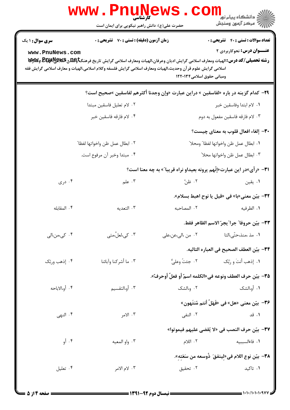|                                           | WWW. PNUN<br>کارشناسی<br>حضرت علی(ع): دانش راهبر نیکویی برای ایمان است                                                                                                                                                                                                                           |                                                                       | د دانشگاه پيام نور<br>اچ دانشگاه پيام نور<br>اچ مرکز آزمون وسنجش                                                        |
|-------------------------------------------|--------------------------------------------------------------------------------------------------------------------------------------------------------------------------------------------------------------------------------------------------------------------------------------------------|-----------------------------------------------------------------------|-------------------------------------------------------------------------------------------------------------------------|
| <b>سری سوال : ۱ یک</b><br>www.PnuNews.com | <b>زمان آزمون (دقیقه) : تستی : 70 ٪ تشریحی : 0</b><br>رشته تحصیلی/کد درس: الهیات ومعارف اسلامی گرایش ادیان وعرفان،الهیات ومعارف اسلامی گرایش تاریخ فرهنگتاویلهی BE ولای و BE و BE<br>اسلامی گرایش علوم قر آن وحدیث،الهیات ومعارف اسلامی گرایش فلسفه وکلام اسلامی،الهیات و معارف اسلامی گرایش فقه | ومباني حقوق اسلامي1۲۲۰۱۳۴                                             | <b>تعداد سوالات : تستي : 40 ٪ تشريحي : 0</b><br><b>عنـــوان درس:</b> نحوکاربردی ۲                                       |
|                                           | 7۹- كدام گزينه در باره «لفاسقين » دراين عبارت «وإن وجدنا أكثرهم لفاسقين »صحيح است؟                                                                                                                                                                                                               |                                                                       |                                                                                                                         |
|                                           | ٢. لام تعليل فاسقين مبتدا                                                                                                                                                                                                                                                                        |                                                                       | ٠١. لام ابتدا وفاسقين خبر                                                                                               |
|                                           | ۰۴ لام فارقه فاسقين خبر                                                                                                                                                                                                                                                                          |                                                                       | ٠٣ لام فارقه فاسقين مفعول به دوم                                                                                        |
|                                           | ٢. ابطال عمل ظن واخواتها لفظا″<br>۰۴ مبتدا وخبر آن مرفوع است.                                                                                                                                                                                                                                    |                                                                       | <b>٣٠</b> - إلغاء افعال قلوب به معناي چيست؟<br>٠١ ابطال عمل ظن واخواتها لفظا" ومحلا"<br>٠٣ ابطال عمل ظن واخواتها محلا ّ |
|                                           |                                                                                                                                                                                                                                                                                                  | ٣١- «رأى»در اين عبارت«إنّهم يرونه بعيداو نراه قريبا″» به چه معنا است؟ |                                                                                                                         |
| ۰۴ دری                                    | ۰۳ علم                                                                                                                                                                                                                                                                                           | ۰۲ ظنَّ                                                               | ۰۱ يقين                                                                                                                 |
| ۰۴ المقابله                               | ۰۳ التعديه                                                                                                                                                                                                                                                                                       | ٢. المصاحبه                                                           | ٣٢- بيّن معنى«با» في «قيل يا نوح اهبط بسلام».<br>١. الظرفيه                                                             |
| ۰۴ کی،من،الی                              | ۰۳ کی،لعلٌ،متی                                                                                                                                                                                                                                                                                   | ٢. من ،الي،عن،علي                                                     | ٣٣– بيّن حروفا" جرا"يجرّ الاسم الظاهر فقط.<br>۰۱ مذ ،منذ،حتّى،التا                                                      |
| ۰۴ إذهب وربّك                             | ۰۳ ما أشركنا وآبائنا                                                                                                                                                                                                                                                                             | ٠٢ جئتُ وعليٌّ                                                        | ٣۴– بيّن العطف الصحيح في العباره التاليه.<br>٠١. إذهب أنتَ و رَبّك                                                      |
|                                           |                                                                                                                                                                                                                                                                                                  | ٣۵− بيّن حرف العطف ونوعه في«الكلمه اسمٌ أو فعلٌ أوحرفٌ».              |                                                                                                                         |
| ۴. أو،الاباحه                             | ۰۳ أو،التقسيم                                                                                                                                                                                                                                                                                    | ۰۲ و،الشک                                                             | ١. أو،الشک                                                                                                              |
|                                           |                                                                                                                                                                                                                                                                                                  |                                                                       | ٣۶-  بيّن معنى «هل» في «فَهَلُ أنتم مُنتَهون»                                                                           |
| ۰۴ النهی                                  | ۰۳ الامر                                                                                                                                                                                                                                                                                         | ۰۲ النفي                                                              | ۰۱ قد                                                                                                                   |
| ۰۴ أو                                     | ۰۳ واو المعیه                                                                                                                                                                                                                                                                                    | ۰۲ اللام                                                              | ٣٧–  بيّن حرف النصب في «لا يُقضى عليهم فيموتوا»<br>٠١ فاءالسببيه                                                        |
| ۰۴ تعليل                                  | ۰۳ لام الامر                                                                                                                                                                                                                                                                                     | ۰۲ تحقیق                                                              | ٣٨— بيّن نوع اللام في«لينفقَ ذُوسعه من سَعَته».<br>٠١. تاكيد                                                            |